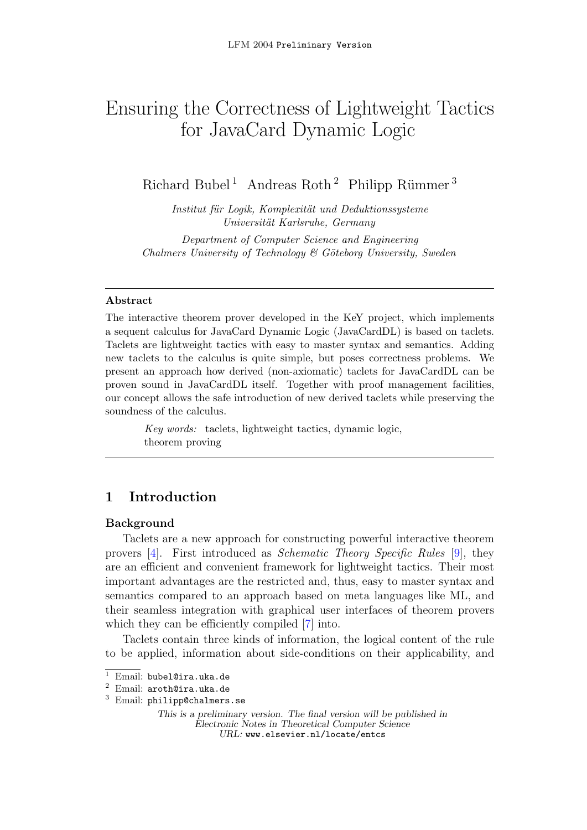# <span id="page-0-0"></span>Ensuring the Correctness of Lightweight Tactics for JavaCard Dynamic Logic

Richard Bubel<sup>1</sup> Andreas Roth<sup>2</sup> Philipp Rümmer<sup>3</sup>

Institut für Logik, Komplexität und Deduktionssysteme Universität Karlsruhe, Germany

Department of Computer Science and Engineering Chalmers University of Technology  $\mathcal B$  Göteborg University, Sweden

### Abstract

The interactive theorem prover developed in the KeY project, which implements a sequent calculus for JavaCard Dynamic Logic (JavaCardDL) is based on taclets. Taclets are lightweight tactics with easy to master syntax and semantics. Adding new taclets to the calculus is quite simple, but poses correctness problems. We present an approach how derived (non-axiomatic) taclets for JavaCardDL can be proven sound in JavaCardDL itself. Together with proof management facilities, our concept allows the safe introduction of new derived taclets while preserving the soundness of the calculus.

> Key words: taclets, lightweight tactics, dynamic logic, theorem proving

# <span id="page-0-1"></span>1 Introduction

# Background

Taclets are a new approach for constructing powerful interactive theorem provers [\[4\]](#page-22-0). First introduced as Schematic Theory Specific Rules [\[9\]](#page-22-1), they are an efficient and convenient framework for lightweight tactics. Their most important advantages are the restricted and, thus, easy to master syntax and semantics compared to an approach based on meta languages like ML, and their seamless integration with graphical user interfaces of theorem provers which they can be efficiently compiled [\[7\]](#page-22-2) into.

Taclets contain three kinds of information, the logical content of the rule to be applied, information about side-conditions on their applicability, and

<sup>1</sup> Email: bubel@ira.uka.de

<sup>2</sup> Email: aroth@ira.uka.de

<sup>3</sup> Email: philipp@chalmers.se

This is a preliminary version. The final version will be published in Electronic Notes in Theoretical Computer Science URL: www.elsevier.nl/locate/entcs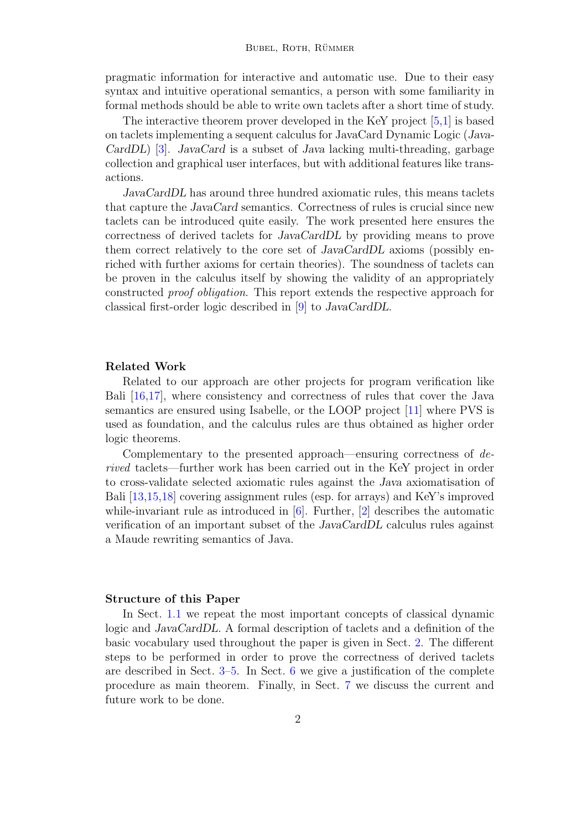pragmatic information for interactive and automatic use. Due to their easy syntax and intuitive operational semantics, a person with some familiarity in formal methods should be able to write own taclets after a short time of study.

The interactive theorem prover developed in the KeY project [\[5,](#page-22-3)[1\]](#page-21-0) is based on taclets implementing a sequent calculus for JavaCard Dynamic Logic (Java-CardDL) [\[3\]](#page-21-1). JavaCard is a subset of Java lacking multi-threading, garbage collection and graphical user interfaces, but with additional features like transactions.

JavaCardDL has around three hundred axiomatic rules, this means taclets that capture the JavaCard semantics. Correctness of rules is crucial since new taclets can be introduced quite easily. The work presented here ensures the correctness of derived taclets for JavaCardDL by providing means to prove them correct relatively to the core set of JavaCardDL axioms (possibly enriched with further axioms for certain theories). The soundness of taclets can be proven in the calculus itself by showing the validity of an appropriately constructed proof obligation. This report extends the respective approach for classical first-order logic described in [\[9\]](#page-22-1) to JavaCardDL.

### Related Work

Related to our approach are other projects for program verification like Bali [\[16](#page-22-4)[,17\]](#page-23-0), where consistency and correctness of rules that cover the Java semantics are ensured using Isabelle, or the LOOP project [\[11\]](#page-22-5) where PVS is used as foundation, and the calculus rules are thus obtained as higher order logic theorems.

Complementary to the presented approach—ensuring correctness of derived taclets—further work has been carried out in the KeY project in order to cross-validate selected axiomatic rules against the Java axiomatisation of Bali [\[13,](#page-22-6)[15,](#page-22-7)[18\]](#page-23-1) covering assignment rules (esp. for arrays) and KeY's improved while-invariant rule as introduced in  $[6]$ . Further,  $[2]$  describes the automatic verification of an important subset of the JavaCardDL calculus rules against a Maude rewriting semantics of Java.

#### Structure of this Paper

In Sect. [1.1](#page-2-0) we repeat the most important concepts of classical dynamic logic and JavaCardDL. A formal description of taclets and a definition of the basic vocabulary used throughout the paper is given in Sect. [2.](#page-4-0) The different steps to be performed in order to prove the correctness of derived taclets are described in Sect.  $3-5$  $3-5$ . In Sect. [6](#page-17-0) we give a justification of the complete procedure as main theorem. Finally, in Sect. [7](#page-21-3) we discuss the current and future work to be done.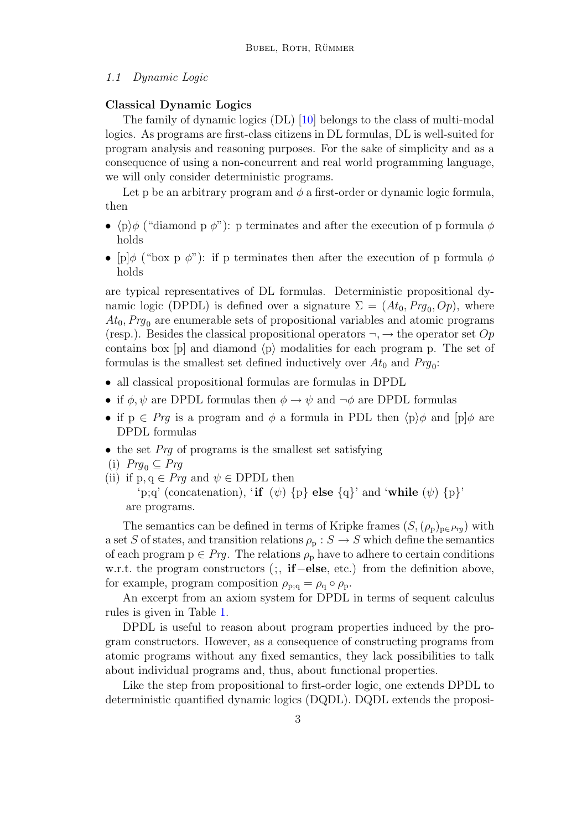#### <span id="page-2-0"></span>1.1 Dynamic Logic

### Classical Dynamic Logics

The family of dynamic logics (DL) [\[10\]](#page-22-9) belongs to the class of multi-modal logics. As programs are first-class citizens in DL formulas, DL is well-suited for program analysis and reasoning purposes. For the sake of simplicity and as a consequence of using a non-concurrent and real world programming language, we will only consider deterministic programs.

Let p be an arbitrary program and  $\phi$  a first-order or dynamic logic formula, then

- $\langle p \rangle \phi$  ("diamond p  $\phi$ "): p terminates and after the execution of p formula  $\phi$ holds
- [p] $\phi$  ("box p  $\phi$ "): if p terminates then after the execution of p formula  $\phi$ holds

are typical representatives of DL formulas. Deterministic propositional dynamic logic (DPDL) is defined over a signature  $\Sigma = (At_0, Prg_0, Op)$ , where  $At_0, Prg_0$  are enumerable sets of propositional variables and atomic programs (resp.). Besides the classical propositional operators  $\neg, \rightarrow$  the operator set  $Op$ contains box  $[p]$  and diamond  $\langle p \rangle$  modalities for each program p. The set of formulas is the smallest set defined inductively over  $At_0$  and  $Prg_0$ :

- all classical propositional formulas are formulas in DPDL
- if  $\phi, \psi$  are DPDL formulas then  $\phi \to \psi$  and  $\neg \phi$  are DPDL formulas
- if  $p \in Prg$  is a program and  $\phi$  a formula in PDL then  $\langle p \rangle \phi$  and  $[p] \phi$  are DPDL formulas
- the set  $Prq$  of programs is the smallest set satisfying
- $(i)$   $Prg_0 \subseteq Prg$
- (ii) if  $p, q \in Prg$  and  $\psi \in DPDL$  then 'p;q' (concatenation), 'if  $(\psi)$  {p} else {q}' and 'while  $(\psi)$  {p}' are programs.

The semantics can be defined in terms of Kripke frames  $(S,(\rho_p)_{p \in Prg})$  with a set S of states, and transition relations  $\rho_p : S \to S$  which define the semantics of each program  $p \in Prg$ . The relations  $\rho_p$  have to adhere to certain conditions w.r.t. the program constructors (;, if−else, etc.) from the definition above, for example, program composition  $\rho_{p;q} = \rho_q \circ \rho_p$ .

An excerpt from an axiom system for DPDL in terms of sequent calculus rules is given in Table [1.](#page-3-0)

DPDL is useful to reason about program properties induced by the program constructors. However, as a consequence of constructing programs from atomic programs without any fixed semantics, they lack possibilities to talk about individual programs and, thus, about functional properties.

Like the step from propositional to first-order logic, one extends DPDL to deterministic quantified dynamic logics (DQDL). DQDL extends the proposi-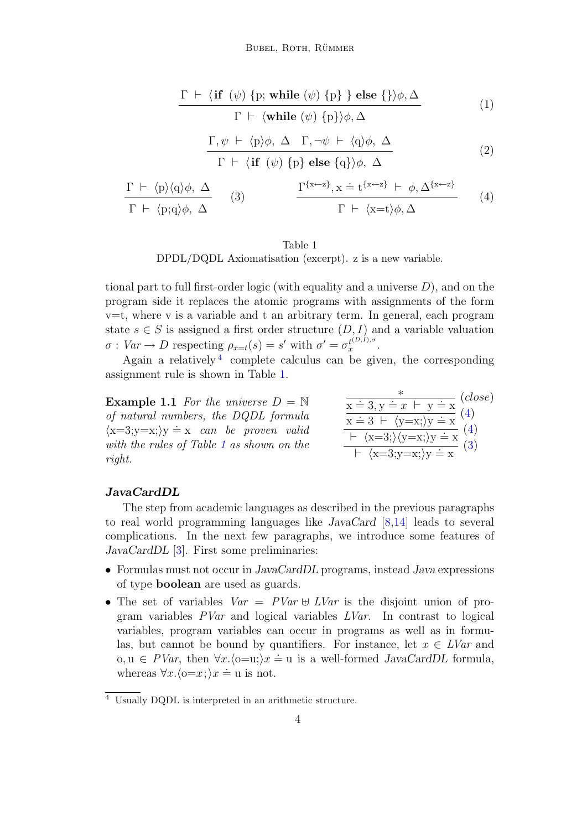$$
\frac{\Gamma \vdash \langle \text{if } (\psi) \{p; \text{while } (\psi) \{p\} \} \text{ else } {\{\rangle \phi, \Delta}}}{\Gamma \vdash \langle \text{while } (\psi) \{p\} \rangle \phi, \Delta} \tag{1}
$$

$$
\frac{\Gamma, \psi \vdash \langle p \rangle \phi, \Delta \Gamma, \neg \psi \vdash \langle q \rangle \phi, \Delta}{\Gamma \vdash \langle \mathbf{if} (\psi) \{p\} \mathbf{else} \{q\} \rangle \phi, \Delta}
$$
\n(2)

$$
\frac{\Gamma \ \vdash \ \langle p \rangle \langle q \rangle \phi, \ \Delta}{\Gamma \ \vdash \ \langle p; q \rangle \phi, \ \Delta} \qquad (3) \qquad \qquad \frac{\Gamma^{\{x \leftarrow z\}}, x \doteq t^{\{x \leftarrow z\}} \ \vdash \ \phi, \Delta^{\{x \leftarrow z\}}}{\Gamma \ \vdash \ \langle x = t \rangle \phi, \Delta} \qquad (4)
$$

#### Table 1

DPDL/DQDL Axiomatisation (excerpt). z is a new variable.

<span id="page-3-0"></span>tional part to full first-order logic (with equality and a universe  $D$ ), and on the program side it replaces the atomic programs with assignments of the form v=t, where v is a variable and t an arbitrary term. In general, each program state  $s \in S$  is assigned a first order structure  $(D, I)$  and a variable valuation  $\sigma: Var \to D$  respecting  $\rho_{x=t}(s) = s'$  with  $\sigma' = \sigma_x^{t^{(D,I),\sigma}}$  $x^{t^{(D,I),\sigma}}$ .

Again a relatively<sup>[4](#page-3-1)</sup> complete calculus can be given, the corresponding assignment rule is shown in Table [1.](#page-3-0)

**Example 1.1** For the universe  $D = N$ of natural numbers, the DQDL formula  $\langle x=3; y=x; \rangle y = x$  can be proven valid with the rules of Table [1](#page-3-0) as shown on the right.

$$
\frac{\overbrace{\mathbf{x} \doteq 3, \mathbf{y} \doteq x \vdash \mathbf{y} \doteq \mathbf{x}}^{*} (close)}{\mathbf{x} \doteq 3 \vdash \langle \mathbf{y} = \mathbf{x} \rangle \mathbf{y} \doteq \mathbf{x}}^{(4)}\n\frac{\overbrace{\mathbf{x} \doteq 3 \vdash \langle \mathbf{y} = \mathbf{x} \rangle}}^{*} \mathbf{x}}^{(4)}\n\frac{\overbrace{\mathbf{x} \doteq 3; \langle \mathbf{y} = \mathbf{x} \rangle}}^{*} \mathbf{x}}{(\mathbf{x} \doteq 3; \mathbf{y} = \mathbf{x}) \rangle \mathbf{y} \doteq \mathbf{x}}^{(4)}\n(3)
$$

### JavaCardDL

The step from academic languages as described in the previous paragraphs to real world programming languages like JavaCard [\[8,](#page-22-10)[14\]](#page-22-11) leads to several complications. In the next few paragraphs, we introduce some features of JavaCardDL [\[3\]](#page-21-1). First some preliminaries:

- Formulas must not occur in JavaCardDL programs, instead Java expressions of type boolean are used as guards.
- The set of variables  $Var = PVar \oplus LVar$  is the disjoint union of program variables  $PVar$  and logical variables  $LVar$ . In contrast to logical variables, program variables can occur in programs as well as in formulas, but cannot be bound by quantifiers. For instance, let  $x \in LVar$  and o,  $u \in PVar$ , then  $\forall x. \langle o=u \rangle x = u$  is a well-formed *JavaCardDL* formula, whereas  $\forall x. \langle 0=x; \rangle x \doteq u$  is not.

<span id="page-3-1"></span><sup>4</sup> Usually DQDL is interpreted in an arithmetic structure.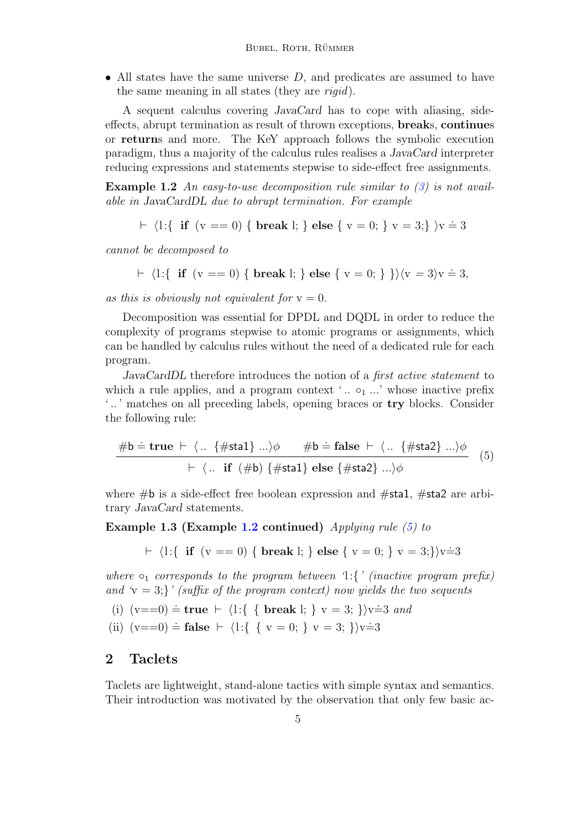• All states have the same universe  $D$ , and predicates are assumed to have the same meaning in all states (they are rigid).

A sequent calculus covering JavaCard has to cope with aliasing, sideeffects, abrupt termination as result of thrown exceptions, breaks, continues or returns and more. The KeY approach follows the symbolic execution paradigm, thus a majority of the calculus rules realises a JavaCard interpreter reducing expressions and statements stepwise to side-effect free assignments.

<span id="page-4-1"></span>**Example 1.2** An easy-to-use decomposition rule similar to  $(3)$  is not available in JavaCardDL due to abrupt termination. For example

$$
\vdash \langle l : \{ \text{ if } (v == 0) \{ \text{ break } l; \} \} \text{ else } \{ v = 0; \} \{ v = 3; \} \rangle v \doteq 3
$$

cannot be decomposed to

$$
\vdash \langle 1:\{\text{ if }(v == 0) \{\text{ break } l;\}\} \text{ else } \{\{v = 0;\}\}\rangle \langle v = 3 \rangle v = 3,
$$

as this is obviously not equivalent for  $y = 0$ .

Decomposition was essential for DPDL and DQDL in order to reduce the complexity of programs stepwise to atomic programs or assignments, which can be handled by calculus rules without the need of a dedicated rule for each program.

JavaCardDL therefore introduces the notion of a *first active statement* to which a rule applies, and a program context ' $\ldots$   $\circ_1 \ldots$ ' whose inactive prefix ' .. ' matches on all preceding labels, opening braces or try blocks. Consider the following rule:

$$
\frac{\#b \doteq \text{true} \vdash \langle .. \{ \# \text{sta1} \} ... \rangle \phi \qquad \#b \doteq \text{false} \vdash \langle .. \{ \# \text{sta2} \} ... \rangle \phi}{\vdash \langle .. \text{ if } (\#b) \{ \# \text{sta1} \} \text{ else } \{ \# \text{sta2} \} ... \rangle \phi} \quad (5)
$$

where  $\#b$  is a side-effect free boolean expression and  $\#sta1$ ,  $\#sta2$  are arbitrary JavaCard statements.

Example 1.3 (Example [1.2](#page-4-1) continued) Applying rule  $(5)$  to

<span id="page-4-2"></span> $\vdash \langle 1:\{ \text{ if } (v == 0) \{ \text{ break } l; \} \} \text{ else } \{ v = 0; \} \} \nu = 3; \} \rangle \nu \doteq 3$ 

where  $\circ_1$  corresponds to the program between 'l:{' (inactive program prefix) and  $\mathbf{v} = 3$ ;  $\mathbf{v}'$  (suffix of the program context) now yields the two sequents

(i)  $(v == 0) \doteq \textbf{true} \vdash \{1:\{ \text{ break } l; \} \} \vee \{3; \} \vee \{3; \}$ 

(ii)  $(v == 0) \doteq false \vdash \langle 1 : \{ \{ v = 0; \} \} v = 3; \} \rangle v \doteq 3$ 

# <span id="page-4-0"></span>2 Taclets

Taclets are lightweight, stand-alone tactics with simple syntax and semantics. Their introduction was motivated by the observation that only few basic ac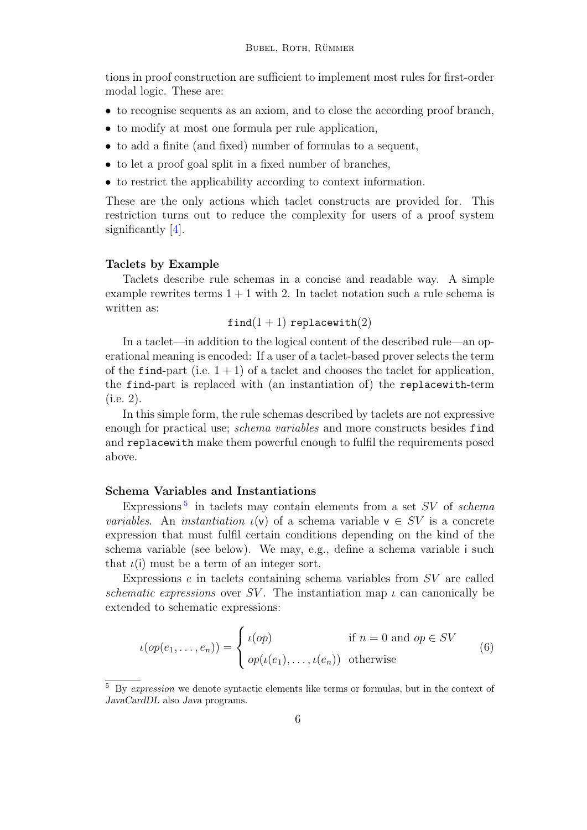tions in proof construction are sufficient to implement most rules for first-order modal logic. These are:

- to recognise sequents as an axiom, and to close the according proof branch,
- to modify at most one formula per rule application,
- to add a finite (and fixed) number of formulas to a sequent,
- to let a proof goal split in a fixed number of branches,
- to restrict the applicability according to context information.

These are the only actions which taclet constructs are provided for. This restriction turns out to reduce the complexity for users of a proof system significantly [\[4\]](#page-22-0).

#### Taclets by Example

Taclets describe rule schemas in a concise and readable way. A simple example rewrites terms  $1 + 1$  with 2. In taclet notation such a rule schema is written as:

 $find(1 + 1) replace with(2)$ 

In a taclet—in addition to the logical content of the described rule—an operational meaning is encoded: If a user of a taclet-based prover selects the term of the find-part (i.e.  $1 + 1$ ) of a taclet and chooses the taclet for application, the find-part is replaced with (an instantiation of) the replacewith-term (i.e. 2).

In this simple form, the rule schemas described by taclets are not expressive enough for practical use; *schema variables* and more constructs besides find and replacewith make them powerful enough to fulfil the requirements posed above.

# Schema Variables and Instantiations

Expressions<sup>[5](#page-5-0)</sup> in taclets may contain elements from a set  $SV$  of schema variables. An instantiation  $\iota(\mathsf{v})$  of a schema variable  $\mathsf{v} \in SV$  is a concrete expression that must fulfil certain conditions depending on the kind of the schema variable (see below). We may, e.g., define a schema variable i such that  $\iota(i)$  must be a term of an integer sort.

Expressions e in taclets containing schema variables from SV are called schematic expressions over SV. The instantiation map  $\iota$  can canonically be extended to schematic expressions:

<span id="page-5-1"></span>
$$
\iota(op(e_1, \ldots, e_n)) = \begin{cases} \iota(op) & \text{if } n = 0 \text{ and } op \in SV \\ op(\iota(e_1), \ldots, \iota(e_n)) & \text{otherwise} \end{cases}
$$
(6)

<span id="page-5-0"></span> $5\,$  By expression we denote syntactic elements like terms or formulas, but in the context of JavaCardDL also Java programs.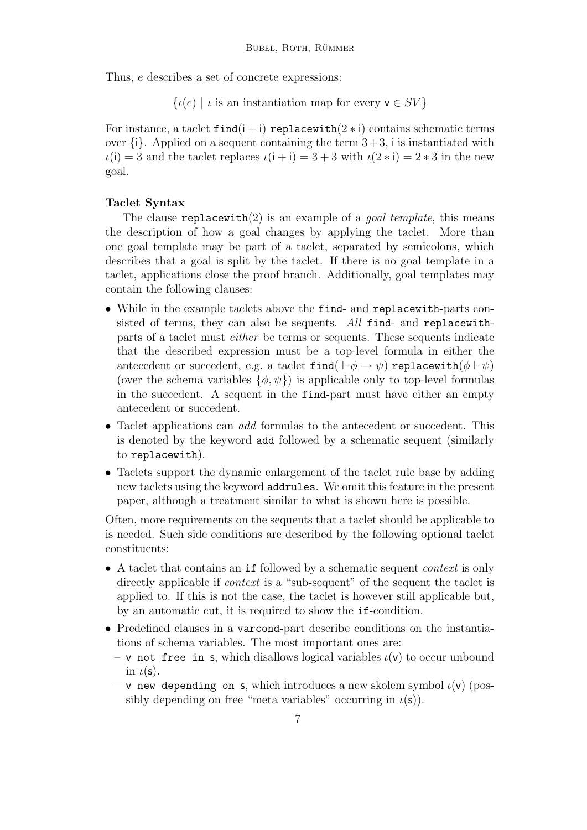Thus, e describes a set of concrete expressions:

```
\{u(e) \mid \iota is an instantiation map for every v \in SV\}
```
For instance, a taclet  $find(i + i)$  replacewith $(2 * i)$  contains schematic terms over  $\{i\}$ . Applied on a sequent containing the term  $3+3$ , i is instantiated with  $\iota(i) = 3$  and the taclet replaces  $\iota(i + i) = 3 + 3$  with  $\iota(2 * i) = 2 * 3$  in the new goal.

### Taclet Syntax

The clause replacewith(2) is an example of a *goal template*, this means the description of how a goal changes by applying the taclet. More than one goal template may be part of a taclet, separated by semicolons, which describes that a goal is split by the taclet. If there is no goal template in a taclet, applications close the proof branch. Additionally, goal templates may contain the following clauses:

- While in the example taclets above the find- and replacewith-parts consisted of terms, they can also be sequents. All find- and replacewithparts of a taclet must either be terms or sequents. These sequents indicate that the described expression must be a top-level formula in either the antecedent or succedent, e.g. a taclet find( $\vdash \phi \rightarrow \psi$ ) replacewith( $\phi \vdash \psi$ ) (over the schema variables  $\{\phi, \psi\}$ ) is applicable only to top-level formulas in the succedent. A sequent in the find-part must have either an empty antecedent or succedent.
- Taclet applications can *add* formulas to the antecedent or succedent. This is denoted by the keyword add followed by a schematic sequent (similarly to replacewith).
- Taclets support the dynamic enlargement of the taclet rule base by adding new taclets using the keyword addrules. We omit this feature in the present paper, although a treatment similar to what is shown here is possible.

Often, more requirements on the sequents that a taclet should be applicable to is needed. Such side conditions are described by the following optional taclet constituents:

- A taclet that contains an if followed by a schematic sequent *context* is only directly applicable if *context* is a "sub-sequent" of the sequent the taclet is applied to. If this is not the case, the taclet is however still applicable but, by an automatic cut, it is required to show the if-condition.
- Predefined clauses in a varcond-part describe conditions on the instantiations of schema variables. The most important ones are:
	- v not free in s, which disallows logical variables  $\iota(\mathsf{v})$  to occur unbound in  $\iota(\mathsf{s})$ .
	- v new depending on s, which introduces a new skolem symbol  $\iota(v)$  (possibly depending on free "meta variables" occurring in  $\iota(\mathsf{s})$ ).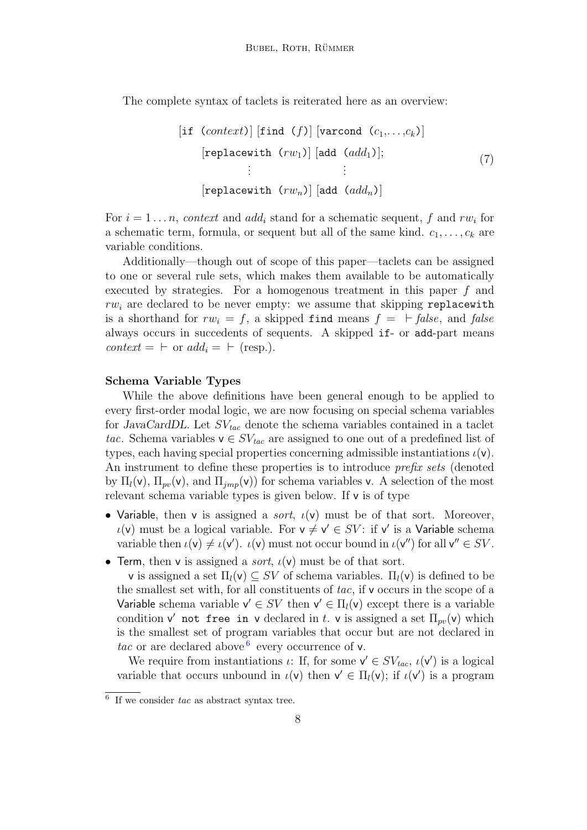The complete syntax of taclets is reiterated here as an overview:

<span id="page-7-1"></span>
$$
[if (context)] [find (f)] [varcond (c_1, \ldots, c_k)]
$$
  
\n[replacewith (rw<sub>1</sub>)] [add (add<sub>1</sub>)];  
\n
$$
\vdots \qquad \vdots
$$
  
\n[replacewith (rw<sub>n</sub>)] [add (add<sub>n</sub>)] (and (add<sub>n</sub>)]

For  $i = 1 \ldots n$ , context and add<sub>i</sub> stand for a schematic sequent, f and rw<sub>i</sub> for a schematic term, formula, or sequent but all of the same kind.  $c_1, \ldots, c_k$  are variable conditions.

Additionally—though out of scope of this paper—taclets can be assigned to one or several rule sets, which makes them available to be automatically executed by strategies. For a homogenous treatment in this paper f and  $rw<sub>i</sub>$  are declared to be never empty: we assume that skipping replacewith is a shorthand for  $rw_i = f$ , a skipped find means  $f = \vdash false$ , and false always occurs in succedents of sequents. A skipped if- or add-part means  $context = \vdash \text{or } add_i = \vdash (\text{resp.}).$ 

#### Schema Variable Types

While the above definitions have been general enough to be applied to every first-order modal logic, we are now focusing on special schema variables for JavaCardDL. Let  $SV_{tac}$  denote the schema variables contained in a taclet tac. Schema variables  $v \in SV_{tac}$  are assigned to one out of a predefined list of types, each having special properties concerning admissible instantiations  $\iota(\mathsf{v})$ . An instrument to define these properties is to introduce *prefix sets* (denoted by  $\Pi_l(\mathsf{v})$ ,  $\Pi_{pv}(\mathsf{v})$ , and  $\Pi_{imp}(\mathsf{v})$  for schema variables v. A selection of the most relevant schema variable types is given below. If v is of type

- Variable, then v is assigned a *sort*,  $\iota(v)$  must be of that sort. Moreover,  $u(v)$  must be a logical variable. For  $v \neq v' \in SV$ : if v' is a Variable schema variable then  $\iota(\mathsf{v}) \neq \iota(\mathsf{v}')$ .  $\iota(\mathsf{v})$  must not occur bound in  $\iota(\mathsf{v}'')$  for all  $\mathsf{v}'' \in SV$ .
- Term, then v is assigned a *sort*,  $\iota(v)$  must be of that sort.

v is assigned a set  $\Pi_l(\mathsf{v}) \subseteq SV$  of schema variables.  $\Pi_l(\mathsf{v})$  is defined to be the smallest set with, for all constituents of tac, if v occurs in the scope of a Variable schema variable  $v' \in SV$  then  $v' \in \Pi_l(v)$  except there is a variable condition v' not free in v declared in t. v is assigned a set  $\Pi_{pv}(v)$  which is the smallest set of program variables that occur but are not declared in tac or are declared above  $6$  every occurrence of v.

We require from instantiations  $\iota$ : If, for some  $\mathsf{v}' \in SV_{tac}$ ,  $\iota(\mathsf{v}')$  is a logical variable that occurs unbound in  $\iota(\mathsf{v})$  then  $\mathsf{v}' \in \Pi_l(\mathsf{v})$ ; if  $\iota(\mathsf{v}')$  is a program

<span id="page-7-0"></span> $6\,$  If we consider tac as abstract syntax tree.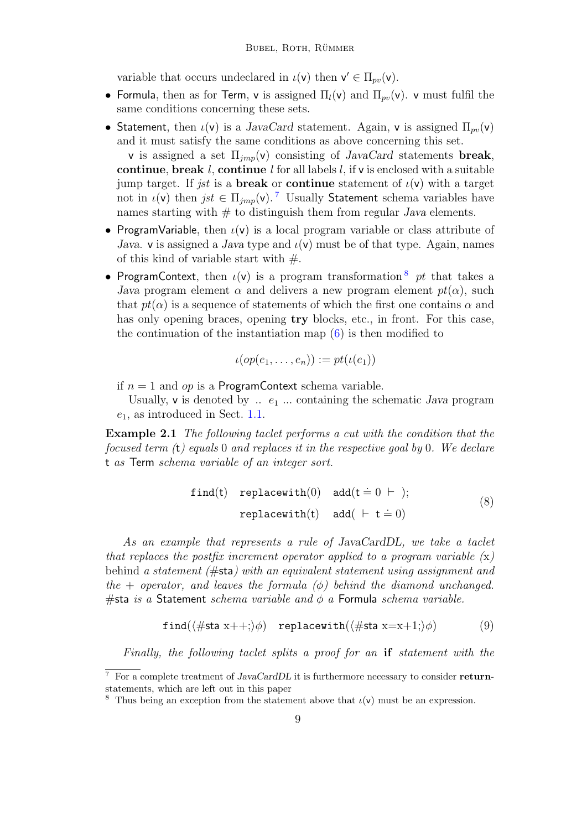variable that occurs undeclared in  $\iota(\mathsf{v})$  then  $\mathsf{v}' \in \Pi_{pv}(\mathsf{v})$ .

- Formula, then as for Term, v is assigned  $\Pi_l(v)$  and  $\Pi_{nv}(v)$ . v must fulfil the same conditions concerning these sets.
- Statement, then  $\iota(\mathsf{v})$  is a JavaCard statement. Again, **v** is assigned  $\Pi_{vv}(\mathsf{v})$ and it must satisfy the same conditions as above concerning this set. v is assigned a set  $\Pi_{imp}(v)$  consisting of JavaCard statements break, continue, break  $l$ , continue  $l$  for all labels  $l$ , if  $v$  is enclosed with a suitable jump target. If *jst* is a **break** or **continue** statement of  $\iota(\mathbf{v})$  with a target not in  $\iota(\mathsf{v})$  then jst  $\in \Pi_{imp}(\mathsf{v})$ . <sup>[7](#page-8-0)</sup> Usually Statement schema variables have names starting with  $#$  to distinguish them from regular *Java* elements.
- ProgramVariable, then  $\iota(\mathsf{v})$  is a local program variable or class attribute of Java. v is assigned a Java type and  $\iota(\mathsf{v})$  must be of that type. Again, names of this kind of variable start with  $#$ .
- ProgramContext, then  $\iota(\mathsf{v})$  is a program transformation  $\delta$  pt that takes a Java program element  $\alpha$  and delivers a new program element  $pt(\alpha)$ , such that  $pt(\alpha)$  is a sequence of statements of which the first one contains  $\alpha$  and has only opening braces, opening **try** blocks, etc., in front. For this case, the continuation of the instantiation map [\(6\)](#page-5-1) is then modified to

<span id="page-8-3"></span>
$$
\iota(op(e_1,\ldots,e_n)) := pt(\iota(e_1))
$$

if  $n = 1$  and *op* is a **ProgramContext** schema variable.

Usually,  $\mathsf{v}$  is denoted by  $\ldots e_1 \ldots$  containing the schematic Java program  $e_1$ , as introduced in Sect. [1.1.](#page-2-0)

<span id="page-8-2"></span>**Example 2.1** The following taclet performs a cut with the condition that the focused term (t) equals 0 and replaces it in the respective goal by 0. We declare t as Term schema variable of an integer sort.

<span id="page-8-4"></span>
$$
find(t) replace with(0) add(t = 0 + );
$$
  
replacement(t) add( + t = 0) (8)

As an example that represents a rule of JavaCardDL, we take a taclet that replaces the postfix increment operator applied to a program variable  $(x)$ behind a statement  $(\# \mathsf{sta})$  with an equivalent statement using assignment and the + operator, and leaves the formula  $(\phi)$  behind the diamond unchanged. #sta is a Statement schema variable and  $\phi$  a Formula schema variable.

$$
\mathtt{find}(\langle\# \mathtt{sta}\ x++;\rangle\phi)\quad\mathtt{replacement}(\langle\# \mathtt{sta}\ x=x+1;\rangle\phi)\tag{9}
$$

Finally, the following taclet splits a proof for an if statement with the

<span id="page-8-0"></span> $7$  For a complete treatment of JavaCardDL it is furthermore necessary to consider returnstatements, which are left out in this paper

<span id="page-8-1"></span><sup>&</sup>lt;sup>8</sup> Thus being an exception from the statement above that  $\iota(\mathsf{v})$  must be an expression.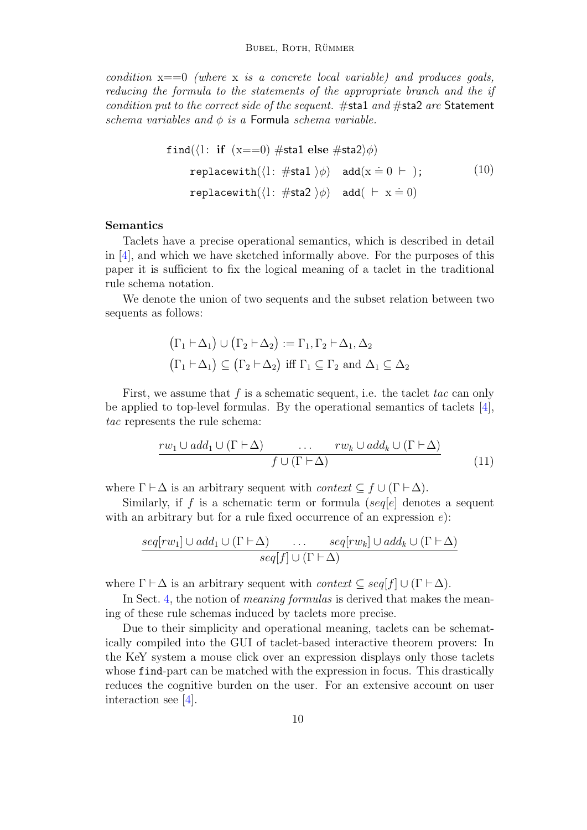condition  $x == 0$  (where x is a concrete local variable) and produces goals, reducing the formula to the statements of the appropriate branch and the if condition put to the correct side of the sequent. #sta1 and #sta2 are Statement schema variables and  $\phi$  is a Formula schema variable.

<span id="page-9-1"></span>
$$
find(\langle l: \text{ if } (x == 0) \# stad \text{ else } \# sta2 \rangle \phi)
$$
\n
$$
replacewith(\langle l: \# sta1 \rangle \phi) \text{ add}(x = 0 \vdash); \tag{10}
$$
\n
$$
replacewith(\langle l: \# sta2 \rangle \phi) \text{ add}(\vdash x = 0)
$$

### Semantics

Taclets have a precise operational semantics, which is described in detail in [\[4\]](#page-22-0), and which we have sketched informally above. For the purposes of this paper it is sufficient to fix the logical meaning of a taclet in the traditional rule schema notation.

We denote the union of two sequents and the subset relation between two sequents as follows:

$$
\begin{aligned} \left(\Gamma_1 \vdash \Delta_1\right) \cup \left(\Gamma_2 \vdash \Delta_2\right) &:= \Gamma_1, \Gamma_2 \vdash \Delta_1, \Delta_2\\ \left(\Gamma_1 \vdash \Delta_1\right) \subseteq \left(\Gamma_2 \vdash \Delta_2\right) \text{ iff } \Gamma_1 \subseteq \Gamma_2 \text{ and } \Delta_1 \subseteq \Delta_2 \end{aligned}
$$

First, we assume that  $f$  is a schematic sequent, i.e. the taclet tac can only be applied to top-level formulas. By the operational semantics of taclets [\[4\]](#page-22-0), tac represents the rule schema:

<span id="page-9-0"></span>
$$
\frac{rw_1 \cup add_1 \cup (\Gamma \vdash \Delta) \qquad \dots \qquad rw_k \cup add_k \cup (\Gamma \vdash \Delta)}{f \cup (\Gamma \vdash \Delta)}\tag{11}
$$

where  $\Gamma \vdash \Delta$  is an arbitrary sequent with *context*  $\subseteq f \cup (\Gamma \vdash \Delta)$ .

Similarly, if f is a schematic term or formula (sequel denotes a sequent with an arbitrary but for a rule fixed occurrence of an expression  $e$ :

$$
\frac{seq[rw_1] \cup add_1 \cup (\Gamma \vdash \Delta) \cdot \ldots \cdot seq[rw_k] \cup add_k \cup (\Gamma \vdash \Delta)}{seq[f] \cup (\Gamma \vdash \Delta)}
$$

where  $\Gamma \vdash \Delta$  is an arbitrary sequent with *context*  $\subseteq seq[f] \cup (\Gamma \vdash \Delta)$ .

In Sect. [4,](#page-11-0) the notion of meaning formulas is derived that makes the meaning of these rule schemas induced by taclets more precise.

Due to their simplicity and operational meaning, taclets can be schematically compiled into the GUI of taclet-based interactive theorem provers: In the KeY system a mouse click over an expression displays only those taclets whose **f** ind-part can be matched with the expression in focus. This drastically reduces the cognitive burden on the user. For an extensive account on user interaction see [\[4\]](#page-22-0).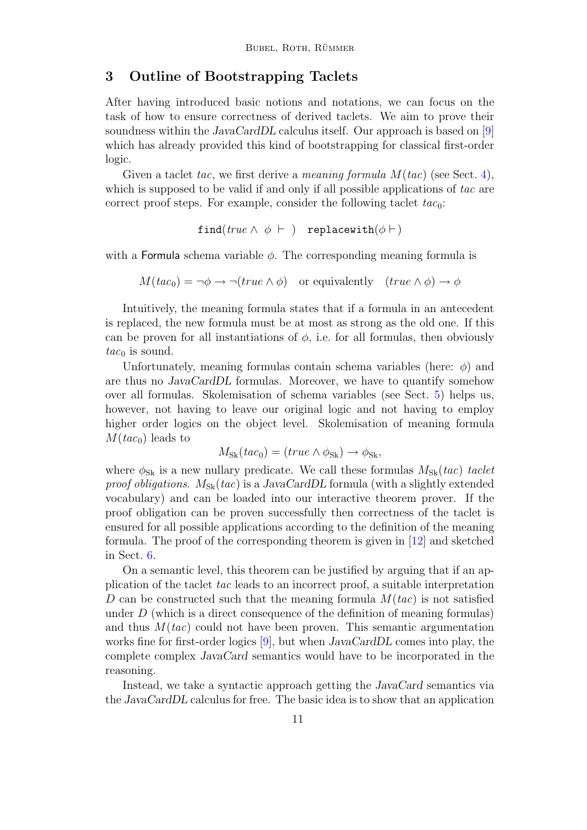# <span id="page-10-0"></span>3 Outline of Bootstrapping Taclets

After having introduced basic notions and notations, we can focus on the task of how to ensure correctness of derived taclets. We aim to prove their soundness within the JavaCardDL calculus itself. Our approach is based on [\[9\]](#page-22-1) which has already provided this kind of bootstrapping for classical first-order logic.

Given a taclet tac, we first derive a *meaning formula*  $M(tac)$  (see Sect. [4\)](#page-11-0), which is supposed to be valid if and only if all possible applications of tac are correct proof steps. For example, consider the following taclet  $tac_0$ :

find(true  $\wedge$   $\phi$   $\vdash$  ) replacewith( $\phi$  $\vdash$ )

with a Formula schema variable  $\phi$ . The corresponding meaning formula is

 $M(tac_0) = \neg \phi \rightarrow \neg (true \land \phi)$  or equivalently  $(true \land \phi) \rightarrow \phi$ 

Intuitively, the meaning formula states that if a formula in an antecedent is replaced, the new formula must be at most as strong as the old one. If this can be proven for all instantiations of  $\phi$ , i.e. for all formulas, then obviously  $tac_0$  is sound.

Unfortunately, meaning formulas contain schema variables (here:  $\phi$ ) and are thus no JavaCardDL formulas. Moreover, we have to quantify somehow over all formulas. Skolemisation of schema variables (see Sect. [5\)](#page-13-0) helps us, however, not having to leave our original logic and not having to employ higher order logics on the object level. Skolemisation of meaning formula  $M(tac_0)$  leads to

$$
M_{\rm Sk}(tac_0) = (true \wedge \phi_{\rm Sk}) \rightarrow \phi_{\rm Sk},
$$

where  $\phi_{\rm Sk}$  is a new nullary predicate. We call these formulas  $M_{\rm Sk}(tac)$  taclet proof obligations.  $M_{\text{Sk}}(tac)$  is a JavaCardDL formula (with a slightly extended vocabulary) and can be loaded into our interactive theorem prover. If the proof obligation can be proven successfully then correctness of the taclet is ensured for all possible applications according to the definition of the meaning formula. The proof of the corresponding theorem is given in  $|12|$  and sketched in Sect. [6.](#page-17-0)

On a semantic level, this theorem can be justified by arguing that if an application of the taclet tac leads to an incorrect proof, a suitable interpretation D can be constructed such that the meaning formula  $M(tac)$  is not satisfied under  $D$  (which is a direct consequence of the definition of meaning formulas) and thus  $M(tac)$  could not have been proven. This semantic argumentation works fine for first-order logics [\[9\]](#page-22-1), but when JavaCardDL comes into play, the complete complex JavaCard semantics would have to be incorporated in the reasoning.

Instead, we take a syntactic approach getting the JavaCard semantics via the JavaCardDL calculus for free. The basic idea is to show that an application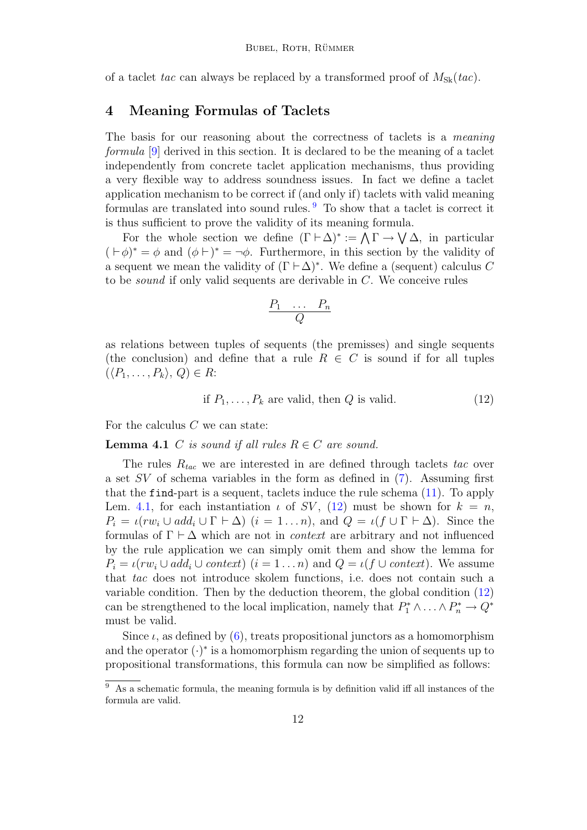of a taclet tac can always be replaced by a transformed proof of  $M_{Sk}(tac)$ .

# <span id="page-11-0"></span>4 Meaning Formulas of Taclets

The basis for our reasoning about the correctness of taclets is a meaning formula [\[9\]](#page-22-1) derived in this section. It is declared to be the meaning of a taclet independently from concrete taclet application mechanisms, thus providing a very flexible way to address soundness issues. In fact we define a taclet application mechanism to be correct if (and only if) taclets with valid meaning formulas are translated into sound rules. [9](#page-11-1) To show that a taclet is correct it is thus sufficient to prove the validity of its meaning formula.

For the whole section we define  $(\Gamma \vdash \Delta)^* := \bigwedge \Gamma \rightarrow \bigvee \Delta$ , in particular  $( \vdash \phi)^* = \phi$  and  $( \phi \vdash)^* = \neg \phi$ . Furthermore, in this section by the validity of a sequent we mean the validity of  $(\Gamma \vdash \Delta)^*$ . We define a (sequent) calculus C to be sound if only valid sequents are derivable in C. We conceive rules

$$
\frac{P_1 \cdots P_n}{Q}
$$

as relations between tuples of sequents (the premisses) and single sequents (the conclusion) and define that a rule  $R \in \mathbb{C}$  is sound if for all tuples  $(\langle P_1,\ldots,P_k\rangle,\,Q)\in R$ :

<span id="page-11-3"></span><span id="page-11-2"></span>if 
$$
P_1, \ldots, P_k
$$
 are valid, then Q is valid. (12)

For the calculus  $C$  we can state:

**Lemma 4.1** C is sound if all rules  $R \in C$  are sound.

The rules  $R_{tac}$  we are interested in are defined through taclets tac over a set SV of schema variables in the form as defined in [\(7\)](#page-7-1). Assuming first that the find-part is a sequent, taclets induce the rule schema [\(11\)](#page-9-0). To apply Lem. [4.1,](#page-11-2) for each instantiation  $\iota$  of SV, [\(12\)](#page-11-3) must be shown for  $k = n$ ,  $P_i = \iota(rw_i \cup add_i \cup \Gamma \vdash \Delta)$   $(i = 1 ... n)$ , and  $Q = \iota(f \cup \Gamma \vdash \Delta)$ . Since the formulas of  $\Gamma \vdash \Delta$  which are not in *context* are arbitrary and not influenced by the rule application we can simply omit them and show the lemma for  $P_i = \iota(rw_i \cup add_i \cup context)$   $(i = 1 \dots n)$  and  $Q = \iota(f \cup context)$ . We assume that tac does not introduce skolem functions, i.e. does not contain such a variable condition. Then by the deduction theorem, the global condition [\(12\)](#page-11-3) can be strengthened to the local implication, namely that  $P_1^* \wedge \ldots \wedge P_n^* \to Q^*$ must be valid.

Since  $\iota$ , as defined by [\(6\)](#page-5-1), treats propositional junctors as a homomorphism and the operator  $(\cdot)^*$  is a homomorphism regarding the union of sequents up to propositional transformations, this formula can now be simplified as follows:

<span id="page-11-1"></span> $9\text{ As a schematic formula, the meaning formula is by definition valid iff all instances of the$ formula are valid.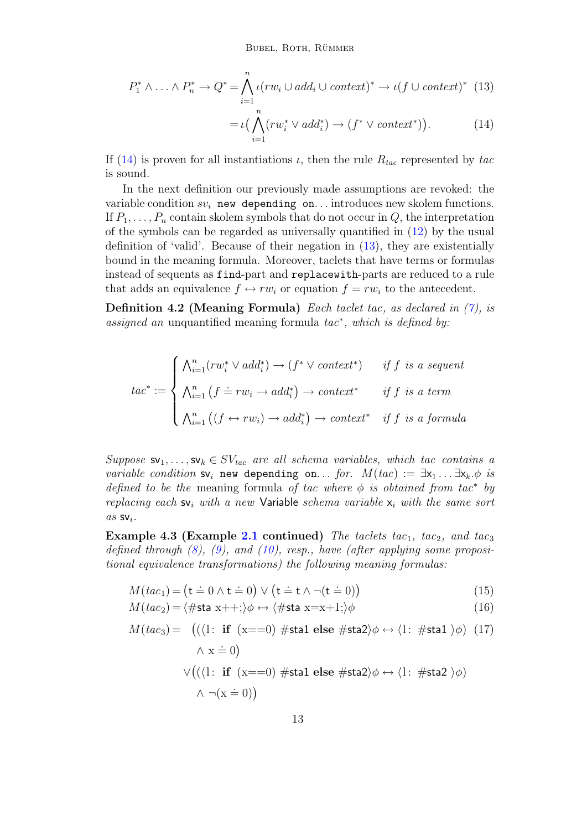$$
P_1^* \wedge \ldots \wedge P_n^* \to Q^* = \bigwedge_{i=1}^n \iota(rw_i \cup add_i \cup context)^* \to \iota(f \cup context)^* \quad (13)
$$

$$
= \iota\big(\bigwedge_{i=1}^{n} (rw_i^* \vee add_i^*) \to (f^* \vee context^*)\big). \tag{14}
$$

If [\(14\)](#page-11-2) is proven for all instantiations  $\iota$ , then the rule  $R_{tac}$  represented by tac is sound.

In the next definition our previously made assumptions are revoked: the variable condition  $sv_i$  new depending on... introduces new skolem functions. If  $P_1, \ldots, P_n$  contain skolem symbols that do not occur in Q, the interpretation of the symbols can be regarded as universally quantified in [\(12\)](#page-11-3) by the usual definition of 'valid'. Because of their negation in [\(13\)](#page-11-2), they are existentially bound in the meaning formula. Moreover, taclets that have terms or formulas instead of sequents as find-part and replacewith-parts are reduced to a rule that adds an equivalence  $f \leftrightarrow rw_i$  or equation  $f = rw_i$  to the antecedent.

**Definition 4.2 (Meaning Formula)** Each taclet tac, as declared in  $(7)$ , is assigned an unquantified meaning formula tac<sup>∗</sup> , which is defined by:

$$
tac^* := \begin{cases} \bigwedge_{i=1}^n (rw_i^* \vee add_i^*) \to (f^* \vee context^*) & \text{if } f \text{ is a sequent} \\ \bigwedge_{i=1}^n (f \doteq rw_i \to add_i^*) \to context^* & \text{if } f \text{ is a term} \\ \bigwedge_{i=1}^n ((f \leftrightarrow rw_i) \to add_i^*) \to context^* & \text{if } f \text{ is a formula} \end{cases}
$$

Suppose  $\mathsf{sv}_1, \ldots, \mathsf{sv}_k \in SV_{tac}$  are all schema variables, which tac contains a variable condition  $sv_i$  new depending on... for.  $M(tac) := \exists x_1 \dots \exists x_k \phi$  is defined to be the meaning formula of tac where  $\phi$  is obtained from tac<sup>\*</sup> by replacing each  $s_{i}$  with a new Variable schema variable  $x_{i}$  with the same sort  $as$  SV<sub>i</sub>.

<span id="page-12-0"></span>**Example 4.3 (Example [2.1](#page-8-2) continued)** The taclets tac<sub>1</sub>, tac<sub>2</sub>, and tac<sub>3</sub> defined through  $(8)$ ,  $(9)$ , and  $(10)$ , resp., have (after applying some propositional equivalence transformations) the following meaning formulas:

$$
M(tac_1) = (\mathbf{t} \doteq 0 \land \mathbf{t} \doteq 0) \lor (\mathbf{t} \doteq \mathbf{t} \land \neg(\mathbf{t} \doteq 0))
$$
\n(15)

$$
M(tac_2) = \langle \# \text{sta } x + \cdot; \rangle \phi \leftrightarrow \langle \# \text{sta } x = x + 1; \rangle \phi \tag{16}
$$

$$
M(tac_3) = ((\langle 1: \text{ if } (x == 0) \# \text{sta1 else } \# \text{sta2} \rangle \phi \leftrightarrow \langle 1: \# \text{sta1 } \rangle \phi) (17)
$$

$$
\land x \doteq 0)
$$

$$
\lor ((\langle 1: \text{ if } (x == 0) \# \text{sta1 else } \# \text{sta2} \rangle \phi \leftrightarrow \langle 1: \# \text{sta2 } \rangle \phi)
$$

$$
\land \neg(x = 0))
$$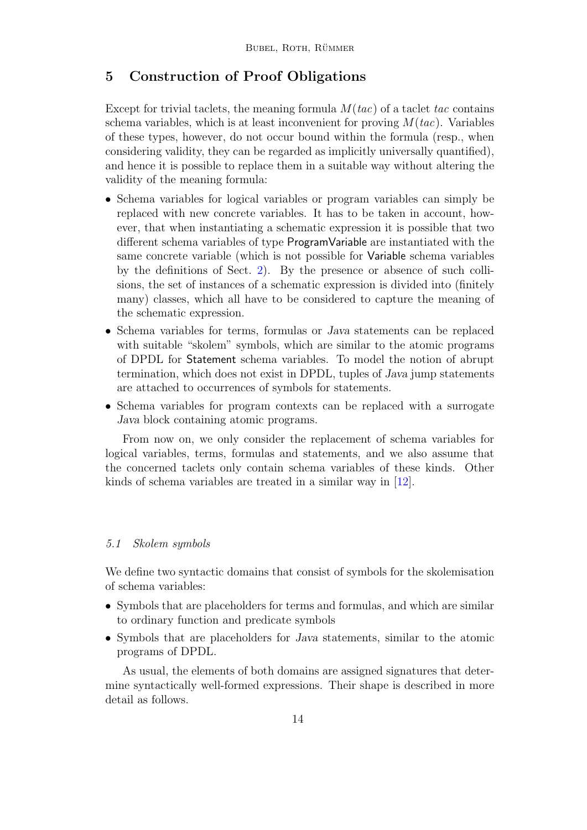# <span id="page-13-0"></span>5 Construction of Proof Obligations

Except for trivial taclets, the meaning formula  $M(tac)$  of a taclet tac contains schema variables, which is at least inconvenient for proving  $M(tac)$ . Variables of these types, however, do not occur bound within the formula (resp., when considering validity, they can be regarded as implicitly universally quantified), and hence it is possible to replace them in a suitable way without altering the validity of the meaning formula:

- Schema variables for logical variables or program variables can simply be replaced with new concrete variables. It has to be taken in account, however, that when instantiating a schematic expression it is possible that two different schema variables of type ProgramVariable are instantiated with the same concrete variable (which is not possible for Variable schema variables by the definitions of Sect. [2\)](#page-4-0). By the presence or absence of such collisions, the set of instances of a schematic expression is divided into (finitely many) classes, which all have to be considered to capture the meaning of the schematic expression.
- Schema variables for terms, formulas or Java statements can be replaced with suitable "skolem" symbols, which are similar to the atomic programs of DPDL for Statement schema variables. To model the notion of abrupt termination, which does not exist in DPDL, tuples of Java jump statements are attached to occurrences of symbols for statements.
- Schema variables for program contexts can be replaced with a surrogate Java block containing atomic programs.

From now on, we only consider the replacement of schema variables for logical variables, terms, formulas and statements, and we also assume that the concerned taclets only contain schema variables of these kinds. Other kinds of schema variables are treated in a similar way in [\[12\]](#page-22-12).

### <span id="page-13-1"></span>5.1 Skolem symbols

We define two syntactic domains that consist of symbols for the skolemisation of schema variables:

- Symbols that are placeholders for terms and formulas, and which are similar to ordinary function and predicate symbols
- Symbols that are placeholders for Java statements, similar to the atomic programs of DPDL.

As usual, the elements of both domains are assigned signatures that determine syntactically well-formed expressions. Their shape is described in more detail as follows.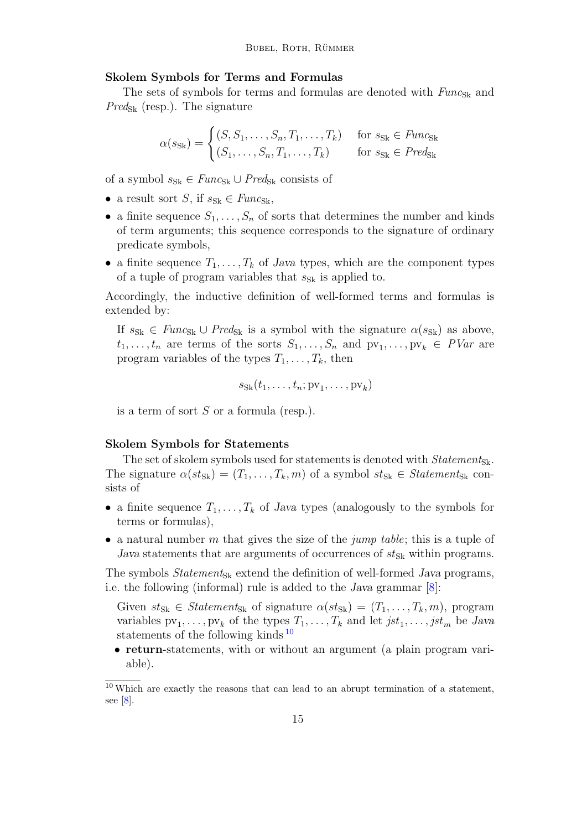#### Skolem Symbols for Terms and Formulas

The sets of symbols for terms and formulas are denoted with  $Func_{SK}$  and  $Pred_{Sk}$  (resp.). The signature

$$
\alpha(s_{\text{Sk}}) = \begin{cases} (S, S_1, \dots, S_n, T_1, \dots, T_k) & \text{for } s_{\text{Sk}} \in \text{Func}_{\text{Sk}} \\ (S_1, \dots, S_n, T_1, \dots, T_k) & \text{for } s_{\text{Sk}} \in \text{Pred}_{\text{Sk}} \end{cases}
$$

of a symbol  $s_{\rm Sk} \in \text{Func}_{\rm Sk} \cup \text{Pred}_{\rm Sk}$  consists of

- a result sort S, if  $s_{\text{Sk}} \in \text{Func}_{\text{Sk}}$ ,
- a finite sequence  $S_1, \ldots, S_n$  of sorts that determines the number and kinds of term arguments; this sequence corresponds to the signature of ordinary predicate symbols,
- a finite sequence  $T_1, \ldots, T_k$  of Java types, which are the component types of a tuple of program variables that  $s_{Sk}$  is applied to.

Accordingly, the inductive definition of well-formed terms and formulas is extended by:

If  $s_{S_k} \in \text{Func}_{S_k} \cup \text{Pred}_{S_k}$  is a symbol with the signature  $\alpha(s_{S_k})$  as above,  $t_1, \ldots, t_n$  are terms of the sorts  $S_1, \ldots, S_n$  and  $pv_1, \ldots, pv_k \in \textit{PVar}$  are program variables of the types  $T_1, \ldots, T_k$ , then

$$
s_{Sk}(t_1,\ldots,t_n;pv_1,\ldots,pv_k)
$$

is a term of sort S or a formula (resp.).

#### Skolem Symbols for Statements

The set of skolem symbols used for statements is denoted with  $Statement_{Sk}$ . The signature  $\alpha(st_{Sk}) = (T_1, \ldots, T_k, m)$  of a symbol  $st_{Sk} \in Statement_{Sk}$  consists of

- a finite sequence  $T_1, \ldots, T_k$  of Java types (analogously to the symbols for terms or formulas),
- a natural number m that gives the size of the jump table; this is a tuple of Java statements that are arguments of occurrences of  $st_{Sk}$  within programs.

The symbols  $Statement_{Sk}$  extend the definition of well-formed Java programs, i.e. the following (informal) rule is added to the Java grammar [\[8\]](#page-22-10):

Given  $st_{Sk} \in Statement_{Sk}$  of signature  $\alpha(st_{Sk}) = (T_1, \ldots, T_k, m)$ , program variables  $pv_1, \ldots, pv_k$  of the types  $T_1, \ldots, T_k$  and let  $jst_1, \ldots, jst_m$  be Java statements of the following kinds  $10$ 

• return-statements, with or without an argument (a plain program variable).

<span id="page-14-0"></span> $10$  Which are exactly the reasons that can lead to an abrupt termination of a statement, see  $\lbrack 8 \rbrack$ .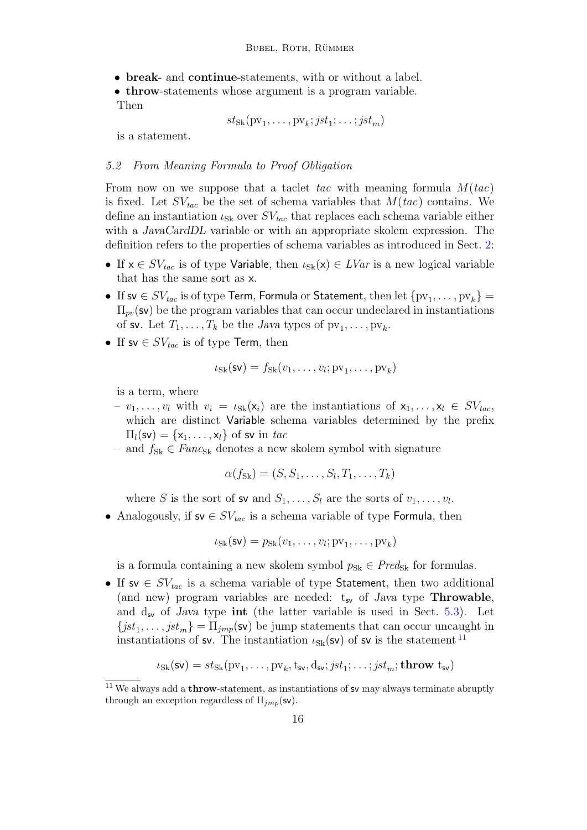- break- and continue-statements, with or without a label.
- throw-statements whose argument is a program variable.

Then

$$
st_{Sk}(pv_1, \ldots, pv_k; jst_1; \ldots; jst_m)
$$

is a statement.

### 5.2 From Meaning Formula to Proof Obligation

From now on we suppose that a taclet tac with meaning formula  $M(tac)$ is fixed. Let  $SV_{tac}$  be the set of schema variables that  $M(tac)$  contains. We define an instantiation  $\iota_{\text{Sk}}$  over  $SV_{tac}$  that replaces each schema variable either with a *JavaCardDL* variable or with an appropriate skolem expression. The definition refers to the properties of schema variables as introduced in Sect. [2:](#page-4-0)

- If  $x \in SV_{tac}$  is of type Variable, then  $\iota_{Sk}(x) \in LVar$  is a new logical variable that has the same sort as x.
- If sv  $\in SV_{tac}$  is of type Term, Formula or Statement, then let  $\{pv_1, \ldots, pv_k\} =$  $\Pi_{pv}$ (sv) be the program variables that can occur undeclared in instantiations of sv. Let  $T_1, \ldots, T_k$  be the Java types of  $pv_1, \ldots, pv_k$ .
- If sv  $\in SV_{tac}$  is of type Term, then

$$
\iota_{Sk}(\mathsf{sv}) = f_{Sk}(v_1, \dots, v_l; pv_1, \dots, pv_k)
$$

is a term, where

- $v_1, \ldots, v_l$  with  $v_i = \iota_{S_k}(x_i)$  are the instantiations of  $x_1, \ldots, x_l \in SV_{tac}$ , which are distinct Variable schema variables determined by the prefix  $\Pi_l(\mathsf{sv}) = \{\mathsf{x}_1, \ldots, \mathsf{x}_l\}$  of sv in tac
- and  $f_{\text{Sk}} \in \text{Func}_{\text{Sk}}$  denotes a new skolem symbol with signature

$$
\alpha(f_{\text{Sk}}) = (S, S_1, \dots, S_l, T_1, \dots, T_k)
$$

where S is the sort of sv and  $S_1, \ldots, S_l$  are the sorts of  $v_1, \ldots, v_l$ .

• Analogously, if  $sv \in SV_{tac}$  is a schema variable of type Formula, then

$$
\iota_{Sk}(\mathsf{sv}) = p_{Sk}(v_1, \dots, v_l; pv_1, \dots, pv_k)
$$

is a formula containing a new skolem symbol  $p_{Sk} \in Pred_{Sk}$  for formulas.

• If sv  $\in SV_{tac}$  is a schema variable of type Statement, then two additional (and new) program variables are needed:  $t_{sv}$  of Java type **Throwable**, and  $d_{sv}$  of Java type int (the latter variable is used in Sect. [5.3\)](#page-16-0). Let  ${jst}_1, \ldots, jst_m$  =  $\Pi_{jmp}$ (sv) be jump statements that can occur uncaught in instantiations of sv. The instantiation  $\iota_{Sk}(\mathsf{sv})$  of sv is the statement  $^{11}$  $^{11}$  $^{11}$ 

$$
\iota_{Sk}(\mathsf{sv}) = \mathit{st}_{Sk}(\mathrm{pv}_1, \ldots, \mathrm{pv}_k, \mathrm{t}_{\mathsf{sv}}, \mathrm{d}_{\mathsf{sv}}; \mathit{jst}_1; \ldots; \mathit{jst}_m; \mathbf{throw}\ \mathrm{t}_{\mathsf{sv}})
$$

<span id="page-15-0"></span> $11$  We always add a **throw**-statement, as instantiations of sv may always terminate abruptly through an exception regardless of  $\Pi_{imp}$ (sv).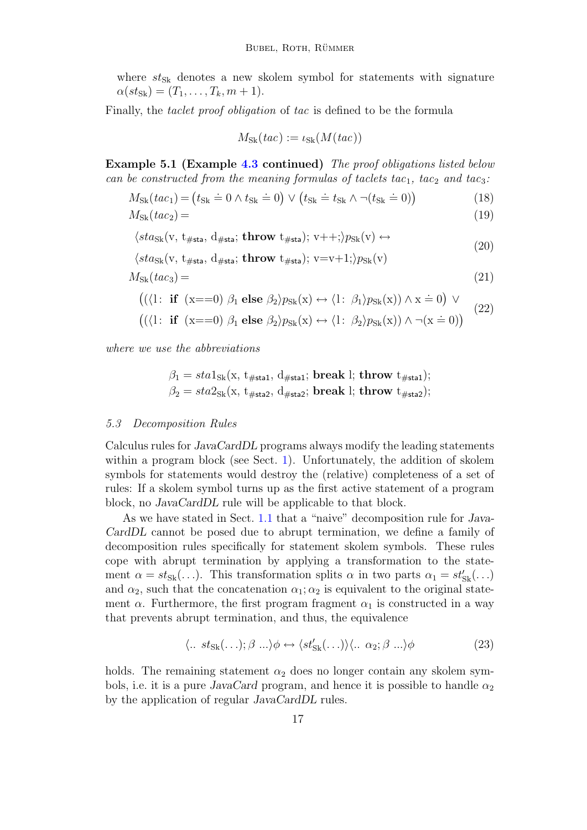where  $st_{Sk}$  denotes a new skolem symbol for statements with signature  $\alpha(st_{Sk}) = (T_1, \ldots, T_k, m + 1).$ 

Finally, the *taclet proof obligation* of tac is defined to be the formula

$$
M_{\rm Sk}(tac) := \iota_{\rm Sk}(M(tac))
$$

Example 5.1 (Example [4.3](#page-12-0) continued) The proof obligations listed below can be constructed from the meaning formulas of taclets tac<sub>1</sub>, tac<sub>2</sub> and tac<sub>3</sub>:

$$
M_{\rm Sk}(tac_1) = (t_{\rm Sk} \doteq 0 \land t_{\rm Sk} \doteq 0) \lor (t_{\rm Sk} \doteq t_{\rm Sk} \land \neg(t_{\rm Sk} \doteq 0))
$$
\n(18)

$$
M_{\rm Sk}(tac_2) = \tag{19}
$$

$$
\langle sta_{Sk}(v, t_{\#sta}, d_{\#sta}; \mathbf{throw} t_{\#sta}); v++; \rangle p_{Sk}(v) \leftrightarrow \langle sta_{Sk}(v, t_{\#sta}, d_{\#sta}; \mathbf{throw} t_{\#sta}); v=v+1; \rangle p_{Sk}(v)
$$
\n(20)

$$
M_{\rm Sk}(tac_3) = \tag{21}
$$

$$
((\langle 1: \text{ if } (x == 0) \beta_1 \text{ else } \beta_2 \rangle p_{Sk}(x) \leftrightarrow \langle 1: \beta_1 \rangle p_{Sk}(x)) \wedge x = 0) \vee
$$

$$
((\langle 1: \text{ if } (x == 0) \beta_1 \text{ else } \beta_2 \rangle p_{Sk}(x) \leftrightarrow \langle 1: \beta_2 \rangle p_{Sk}(x)) \land \neg(x == 0))
$$
\n
$$
(22)
$$

where we use the abbreviations

$$
\beta_1 = sta1_{Sk}(x, t_{\#sta1}, d_{\#sta1}; break !; throw t_{\#sta1});
$$
  

$$
\beta_2 = sta2_{Sk}(x, t_{\#sta2}, d_{\#sta2}; break !; throw t_{\#sta2});
$$

#### <span id="page-16-0"></span>5.3 Decomposition Rules

Calculus rules for JavaCardDL programs always modify the leading statements within a program block (see Sect. [1\)](#page-0-1). Unfortunately, the addition of skolem symbols for statements would destroy the (relative) completeness of a set of rules: If a skolem symbol turns up as the first active statement of a program block, no JavaCardDL rule will be applicable to that block.

As we have stated in Sect. [1.1](#page-2-0) that a "naive" decomposition rule for Java-CardDL cannot be posed due to abrupt termination, we define a family of decomposition rules specifically for statement skolem symbols. These rules cope with abrupt termination by applying a transformation to the statement  $\alpha = st_{Sk}(\ldots)$ . This transformation splits  $\alpha$  in two parts  $\alpha_1 = st'_{Sk}(\ldots)$ and  $\alpha_2$ , such that the concatenation  $\alpha_1$ ;  $\alpha_2$  is equivalent to the original statement  $\alpha$ . Furthermore, the first program fragment  $\alpha_1$  is constructed in a way that prevents abrupt termination, and thus, the equivalence

<span id="page-16-1"></span>
$$
\langle \dots st_{\text{Sk}}(\dots); \beta \dots \rangle \phi \leftrightarrow \langle st'_{\text{Sk}}(\dots) \rangle \langle \dots \alpha_2; \beta \dots \rangle \phi \tag{23}
$$

holds. The remaining statement  $\alpha_2$  does no longer contain any skolem symbols, i.e. it is a pure JavaCard program, and hence it is possible to handle  $\alpha_2$ by the application of regular JavaCardDL rules.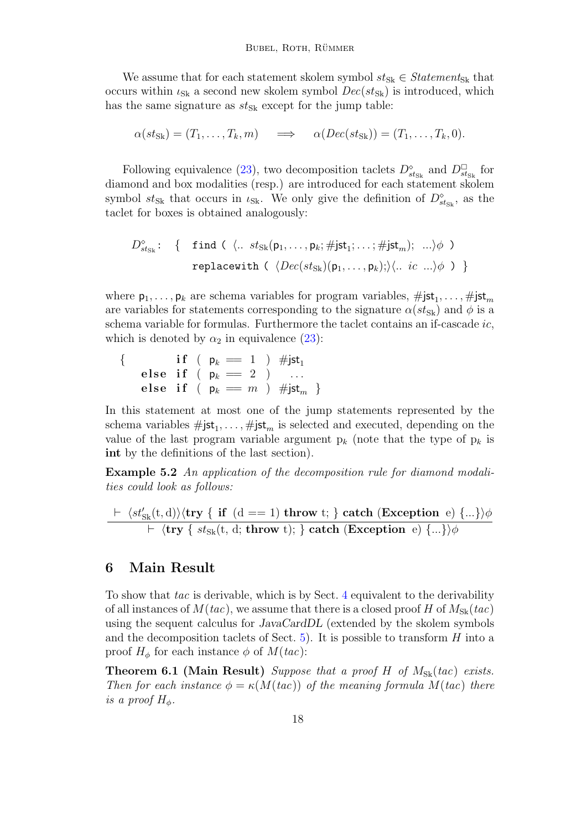We assume that for each statement skolem symbol  $st_{Sk} \in Statement_{Sk}$  that occurs within  $\iota_{S_k}$  a second new skolem symbol  $Dec(st_{S_k})$  is introduced, which has the same signature as  $st_{Sk}$  except for the jump table:

$$
\alpha(st_{\mathsf{Sk}})=(T_1,\ldots,T_k,m)\quad\Longrightarrow\quad\alpha(Dec(st_{\mathsf{Sk}}))=(T_1,\ldots,T_k,0).
$$

Following equivalence [\(23\)](#page-16-1), two decomposition taclets  $D_{st_{\text{Sk}}}^{\diamond}$  and  $D_{st_{\text{Sk}}}^{\square}$  for diamond and box modalities (resp.) are introduced for each statement skolem symbol  $st_{Sk}$  that occurs in  $\iota_{Sk}$ . We only give the definition of  $D_{st_{Sk}}^{\diamond}$ , as the taclet for boxes is obtained analogously:

$$
D_{st_{Sk}}^{\diamond}:\n\left\{\n\begin{array}{l}\n\text{find } (\langle .. \; st_{Sk}(\mathsf{p}_1, \ldots, \mathsf{p}_k; \# \text{jst}_1; \ldots; \# \text{jst}_m); \; \ldots \rangle \phi \; \text{)} \\
\text{replace with } (\langle Dec(st_{Sk})(\mathsf{p}_1, \ldots, \mathsf{p}_k); \rangle \langle .. \; ic \; \ldots \rangle \phi \; \text{)}\n\end{array}\n\right\}
$$

where  $\mathsf{p}_1,\ldots,\mathsf{p}_k$  are schema variables for program variables,  $\#\mathsf{jst}_1,\ldots,\#\mathsf{jst}_m$ are variables for statements corresponding to the signature  $\alpha(st_{\rm Sk})$  and  $\phi$  is a schema variable for formulas. Furthermore the taclet contains an if-cascade ic, which is denoted by  $\alpha_2$  in equivalence [\(23\)](#page-16-1):

$$
\{\begin{array}{c}{\bf if}\,\,(\ \ \, {\sf p}_k\,=\,1\ \ )\ \ \, \# {\sf jst}_1\\ {\bf else}\ \ {\bf if}\ \ (\ \, {\sf p}_k\,=\,2\ \ )\ \ \, \ldots\\ {\bf else}\ \ {\bf if}\ \ (\ \, {\sf p}_k\,=\,m\ \ )\ \ \, \# {\sf jst}_m\ \ \}\end{array}
$$

In this statement at most one of the jump statements represented by the schema variables  $\#jst_1, \ldots, \#jst_m$  is selected and executed, depending on the value of the last program variable argument  $p_k$  (note that the type of  $p_k$  is int by the definitions of the last section).

Example 5.2 An application of the decomposition rule for diamond modalities could look as follows:

$$
\frac{\vdash \langle st'_{Sk}(t, d) \rangle \langle \text{try} \{ \text{ if } (d == 1) \text{ throw } t; \} \text{ catch (Exception } e) \} \ldots \rangle \rangle \phi}{\vdash \langle \text{try} \{ \, st_{Sk}(t, d; \text{ throw } t) ; \} \rangle} \text{ catch (Exception } e) \} \ldots \rangle \rangle \phi
$$

### <span id="page-17-0"></span>6 Main Result

To show that tac is derivable, which is by Sect. [4](#page-11-0) equivalent to the derivability of all instances of  $M(tac)$ , we assume that there is a closed proof H of  $M_{Sk}(tac)$ using the sequent calculus for *JavaCardDL* (extended by the skolem symbols and the decomposition taclets of Sect. [5\)](#page-13-0). It is possible to transform  $H$  into a proof  $H_{\phi}$  for each instance  $\phi$  of  $M(tac)$ :

<span id="page-17-1"></span>**Theorem 6.1 (Main Result)** Suppose that a proof H of  $M_{Sk}(tac)$  exists. Then for each instance  $\phi = \kappa(M(tac))$  of the meaning formula  $M(tac)$  there is a proof  $H_{\phi}$ .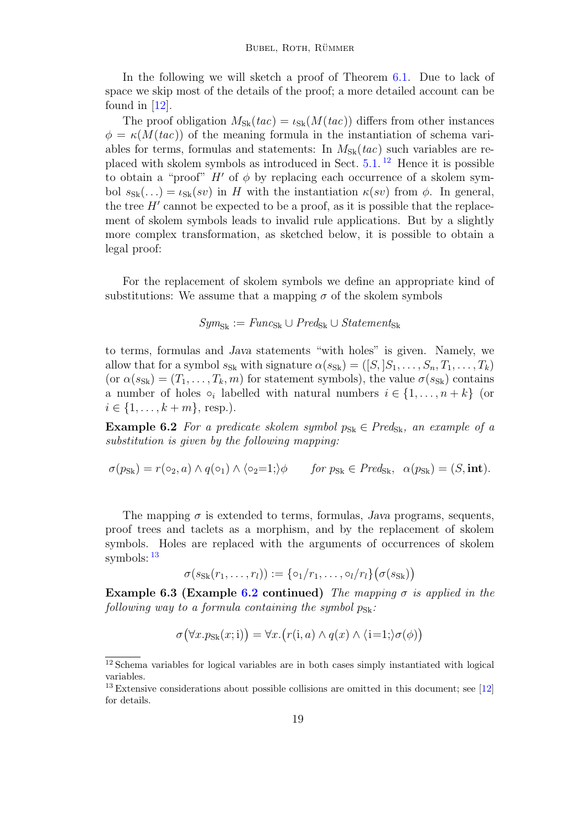In the following we will sketch a proof of Theorem [6.1.](#page-17-1) Due to lack of space we skip most of the details of the proof; a more detailed account can be found in [\[12\]](#page-22-12).

The proof obligation  $M_{\text{Sk}}(tac) = \iota_{\text{Sk}}(M(tac))$  differs from other instances  $\phi = \kappa(M(tac))$  of the meaning formula in the instantiation of schema variables for terms, formulas and statements: In  $M_{S_k}(tac)$  such variables are replaced with skolem symbols as introduced in Sect. [5.1.](#page-13-1) [12](#page-18-0) Hence it is possible to obtain a "proof"  $H'$  of  $\phi$  by replacing each occurrence of a skolem symbol  $s_{S_k}(\ldots) = \iota_{S_k}(sv)$  in H with the instantiation  $\kappa(sv)$  from  $\phi$ . In general, the tree  $H'$  cannot be expected to be a proof, as it is possible that the replacement of skolem symbols leads to invalid rule applications. But by a slightly more complex transformation, as sketched below, it is possible to obtain a legal proof:

For the replacement of skolem symbols we define an appropriate kind of substitutions: We assume that a mapping  $\sigma$  of the skolem symbols

# $Sym_{\text{Sk}} := Func_{\text{Sk}} \cup Pred_{\text{Sk}} \cup Statement_{\text{Sk}}$

to terms, formulas and Java statements "with holes" is given. Namely, we allow that for a symbol  $s_{S_k}$  with signature  $\alpha(s_{S_k}) = ([S, S_1, \ldots, S_n, T_1, \ldots, T_k)$  $(\text{or } \alpha(s_{sk}) = (T_1, \ldots, T_k, m)$  for statement symbols), the value  $\sigma(s_{sk})$  contains a number of holes  $\circ_i$  labelled with natural numbers  $i \in \{1, \ldots, n+k\}$  (or  $i \in \{1, ..., k+m\},$  resp.).

<span id="page-18-2"></span>**Example 6.2** For a predicate skolem symbol  $p_{Sk} \in Pred_{Sk}$ , an example of a substitution is given by the following mapping:

$$
\sigma(p_{\text{Sk}}) = r(\circ_2, a) \land q(\circ_1) \land \langle \circ_2 = 1 \rangle \phi \quad \text{for } p_{\text{Sk}} \in \text{Pred}_{\text{Sk}}, \ \alpha(p_{\text{Sk}}) = (S, \text{int}).
$$

The mapping  $\sigma$  is extended to terms, formulas, Java programs, sequents, proof trees and taclets as a morphism, and by the replacement of skolem symbols. Holes are replaced with the arguments of occurrences of skolem symbols: [13](#page-18-1)

$$
\sigma(s_{Sk}(r_1,\ldots,r_l)) := \{\circ_1/r_1,\ldots,\circ_l/r_l\}(\sigma(s_{Sk}))
$$

<span id="page-18-3"></span>Example 6.3 (Example [6.2](#page-18-2) continued) The mapping  $\sigma$  is applied in the following way to a formula containing the symbol  $p_{\rm Sk}$ .

$$
\sigma(\forall x. p_{\text{Sk}}(x; i)) = \forall x. (r(i, a) \land q(x) \land (i=1;)\sigma(\phi))
$$

<span id="page-18-0"></span><sup>&</sup>lt;sup>12</sup> Schema variables for logical variables are in both cases simply instantiated with logical variables.

<span id="page-18-1"></span> $13$  Extensive considerations about possible collisions are omitted in this document; see [\[12\]](#page-22-12) for details.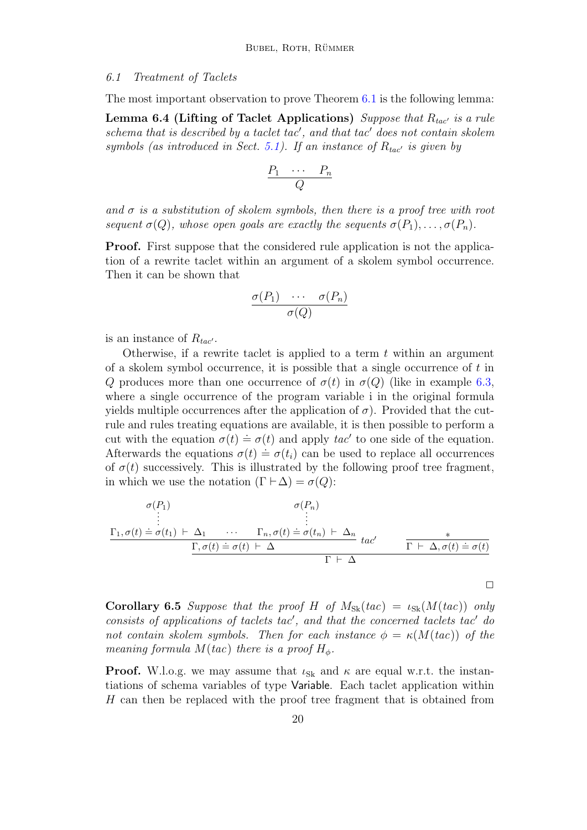#### 6.1 Treatment of Taclets

The most important observation to prove Theorem [6.1](#page-17-1) is the following lemma:

<span id="page-19-0"></span>Lemma 6.4 (Lifting of Taclet Applications) Suppose that  $R_{tac}$  is a rule  $schema$  that is described by a taclet tac', and that tac' does not contain skolem symbols (as introduced in Sect. [5.1\)](#page-13-1). If an instance of  $R_{tac}$  is given by

$$
\frac{P_1 \cdots P_n}{Q}
$$

and  $\sigma$  is a substitution of skolem symbols, then there is a proof tree with root sequent  $\sigma(Q)$ , whose open goals are exactly the sequents  $\sigma(P_1), \ldots, \sigma(P_n)$ .

Proof. First suppose that the considered rule application is not the application of a rewrite taclet within an argument of a skolem symbol occurrence. Then it can be shown that

$$
\frac{\sigma(P_1) \cdots \sigma(P_n)}{\sigma(Q)}
$$

is an instance of  $R_{tac'}$ .

Otherwise, if a rewrite taclet is applied to a term  $t$  within an argument of a skolem symbol occurrence, it is possible that a single occurrence of  $t$  in Q produces more than one occurrence of  $\sigma(t)$  in  $\sigma(Q)$  (like in example [6.3,](#page-18-3) where a single occurrence of the program variable i in the original formula yields multiple occurrences after the application of  $\sigma$ ). Provided that the cutrule and rules treating equations are available, it is then possible to perform a cut with the equation  $\sigma(t) \doteq \sigma(t)$  and apply  $tac'$  to one side of the equation. Afterwards the equations  $\sigma(t) = \sigma(t_i)$  can be used to replace all occurrences of  $\sigma(t)$  successively. This is illustrated by the following proof tree fragment, in which we use the notation  $(\Gamma \vdash \Delta) = \sigma(Q)$ :

$$
\sigma(P_1)
$$
\n
$$
\begin{array}{c}\n\sigma(P_1) \\
\vdots \\
\sigma(t) \doteq \sigma(t_1) \vdash \Delta_1 \qquad \cdots \qquad \Gamma_n, \sigma(t) \doteq \sigma(t_n) \vdash \Delta_n \\
\hline\n\Gamma, \sigma(t) \doteq \sigma(t) \vdash \Delta\n\end{array} \quad \text{and} \quad \sigma(P_n)
$$
\n
$$
\begin{array}{c}\n\sigma(P_1) \\
\vdots \\
\sigma(t) \doteq \sigma(t_1) \vdash \Delta_n \\
\hline\n\Gamma \vdash \Delta\n\end{array}
$$

<span id="page-19-1"></span>**Corollary 6.5** Suppose that the proof H of  $M_{Sk}(tac) = \iota_{Sk}(M(tac))$  only  $consists$  of applications of taclets tac', and that the concerned taclets tac' do not contain skolem symbols. Then for each instance  $\phi = \kappa(M(tac))$  of the meaning formula  $M(tac)$  there is a proof  $H_{\phi}$ .

 $\Box$ 

**Proof.** W.l.o.g. we may assume that  $\iota_{Sk}$  and  $\kappa$  are equal w.r.t. the instantiations of schema variables of type Variable. Each taclet application within H can then be replaced with the proof tree fragment that is obtained from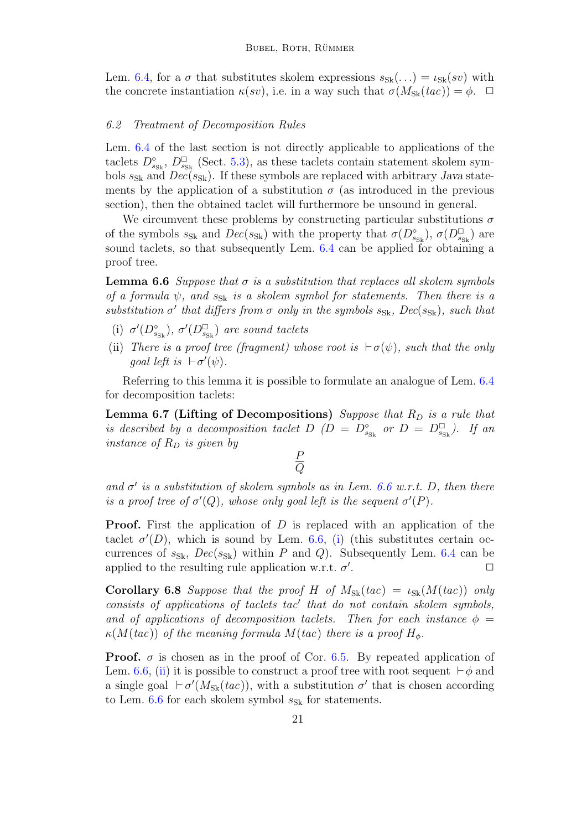Lem. [6.4,](#page-19-0) for a  $\sigma$  that substitutes skolem expressions  $s_{Sk}(\ldots) = \iota_{Sk}(sv)$  with the concrete instantiation  $\kappa(sv)$ , i.e. in a way such that  $\sigma(M_{\rm Sk}(tac)) = \phi$ .  $\Box$ 

### 6.2 Treatment of Decomposition Rules

Lem. [6.4](#page-19-0) of the last section is not directly applicable to applications of the taclets  $D_{s_{\rm SK}}^{\circ}$ ,  $D_{s_{\rm Sk}}^{\square}$  (Sect. [5.3\)](#page-16-0), as these taclets contain statement skolem symbols  $s_{Sk}$  and  $Dec(s_{Sk})$ . If these symbols are replaced with arbitrary Java statements by the application of a substitution  $\sigma$  (as introduced in the previous section), then the obtained taclet will furthermore be unsound in general.

We circumvent these problems by constructing particular substitutions  $\sigma$ of the symbols  $s_{Sk}$  and  $Dec(s_{Sk})$  with the property that  $\sigma(D^{\circ}_{s_{Sk}}), \sigma(D^{\square}_{s_{Sk}})$  are sound taclets, so that subsequently Lem. [6.4](#page-19-0) can be applied for obtaining a proof tree.

<span id="page-20-0"></span>**Lemma 6.6** Suppose that  $\sigma$  is a substitution that replaces all skolem symbols of a formula  $\psi$ , and  $s_{Sk}$  is a skolem symbol for statements. Then there is a substitution  $\sigma'$  that differs from  $\sigma$  only in the symbols  $s_{S_k}$ ,  $Dec(s_{S_k})$ , such that

- <span id="page-20-1"></span>(i)  $\sigma'(D_{s_{\text{Sk}}}^{\diamond}), \sigma'(D_{s_{\text{Sk}}}^{\square})$  are sound taclets
- <span id="page-20-2"></span>(ii) There is a proof tree (fragment) whose root is  $\vdash \sigma(\psi)$ , such that the only goal left is  $\vdash \sigma'(\psi)$ .

Referring to this lemma it is possible to formulate an analogue of Lem. [6.4](#page-19-0) for decomposition taclets:

<span id="page-20-3"></span>**Lemma 6.7 (Lifting of Decompositions)** Suppose that  $R_D$  is a rule that is described by a decomposition taclet  $D(D = D_{s_{\text{SK}}}^{\circ}$  or  $D = D_{s_{\text{SK}}}^{\square}$ ). If an instance of  $R_D$  is given by

> P  $\,Q$

and  $\sigma'$  is a substitution of skolem symbols as in Lem. [6.6](#page-20-0) w.r.t. D, then there is a proof tree of  $\sigma'(Q)$ , whose only goal left is the sequent  $\sigma'(P)$ .

**Proof.** First the application of  $D$  is replaced with an application of the taclet  $\sigma'(D)$ , which is sound by Lem. [6.6,](#page-20-0) [\(i\)](#page-20-1) (this substitutes certain occurrences of  $s_{S_k}$ ,  $Dec(s_{S_k})$  within P and Q). Subsequently Lem. [6.4](#page-19-0) can be applied to the resulting rule application w.r.t.  $\sigma'$ .  $\Box$ 

**Corollary 6.8** Suppose that the proof H of  $M_{Sk}(tac) = \iota_{Sk}(M(tac))$  only  $consists$  of applications of taclets tac' that do not contain skolem symbols, and of applications of decomposition taclets. Then for each instance  $\phi =$  $\kappa(M(tac))$  of the meaning formula  $M(tac)$  there is a proof  $H_{\phi}$ .

**Proof.**  $\sigma$  is chosen as in the proof of Cor. [6.5.](#page-19-1) By repeated application of Lem. [6.6,](#page-20-0) [\(ii\)](#page-20-2) it is possible to construct a proof tree with root sequent  $\vdash \phi$  and a single goal  $\vdash \sigma'(M_{\text{Sk}}(tac))$ , with a substitution  $\sigma'$  that is chosen according to Lem. [6.6](#page-20-0) for each skolem symbol  $s_{Sk}$  for statements.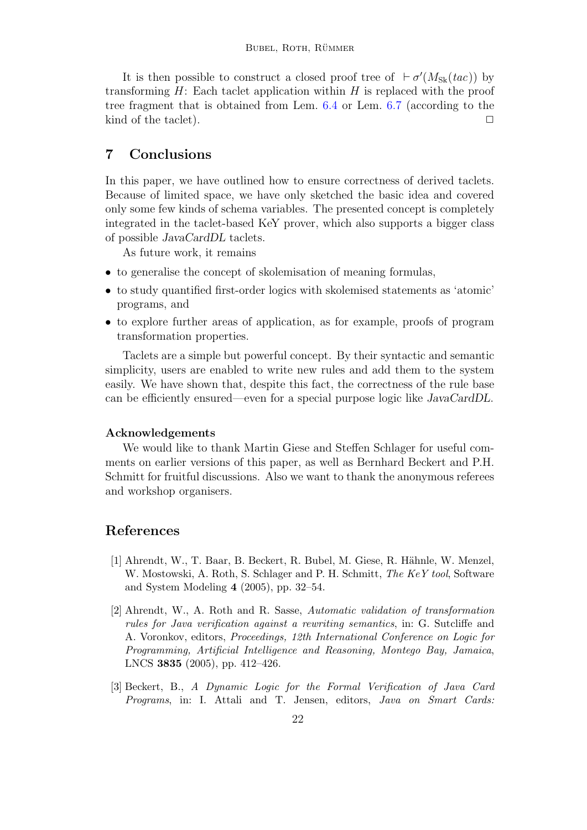It is then possible to construct a closed proof tree of  $\vdash \sigma'(M_{\rm Sk}(tac))$  by transforming  $H$ : Each taclet application within  $H$  is replaced with the proof tree fragment that is obtained from Lem. [6.4](#page-19-0) or Lem. [6.7](#page-20-3) (according to the kind of the taclet).  $\Box$ 

# <span id="page-21-3"></span>7 Conclusions

In this paper, we have outlined how to ensure correctness of derived taclets. Because of limited space, we have only sketched the basic idea and covered only some few kinds of schema variables. The presented concept is completely integrated in the taclet-based KeY prover, which also supports a bigger class of possible JavaCardDL taclets.

As future work, it remains

- to generalise the concept of skolemisation of meaning formulas,
- to study quantified first-order logics with skolemised statements as 'atomic' programs, and
- to explore further areas of application, as for example, proofs of program transformation properties.

Taclets are a simple but powerful concept. By their syntactic and semantic simplicity, users are enabled to write new rules and add them to the system easily. We have shown that, despite this fact, the correctness of the rule base can be efficiently ensured—even for a special purpose logic like JavaCardDL.

#### Acknowledgements

We would like to thank Martin Giese and Steffen Schlager for useful comments on earlier versions of this paper, as well as Bernhard Beckert and P.H. Schmitt for fruitful discussions. Also we want to thank the anonymous referees and workshop organisers.

# References

- <span id="page-21-0"></span>[1] Ahrendt, W., T. Baar, B. Beckert, R. Bubel, M. Giese, R. H¨ahnle, W. Menzel, W. Mostowski, A. Roth, S. Schlager and P. H. Schmitt, The KeY tool, Software and System Modeling 4 (2005), pp. 32–54.
- <span id="page-21-2"></span>[2] Ahrendt, W., A. Roth and R. Sasse, Automatic validation of transformation rules for Java verification against a rewriting semantics, in: G. Sutcliffe and A. Voronkov, editors, Proceedings, 12th International Conference on Logic for Programming, Artificial Intelligence and Reasoning, Montego Bay, Jamaica, LNCS 3835 (2005), pp. 412–426.
- <span id="page-21-1"></span>[3] Beckert, B., A Dynamic Logic for the Formal Verification of Java Card Programs, in: I. Attali and T. Jensen, editors, Java on Smart Cards: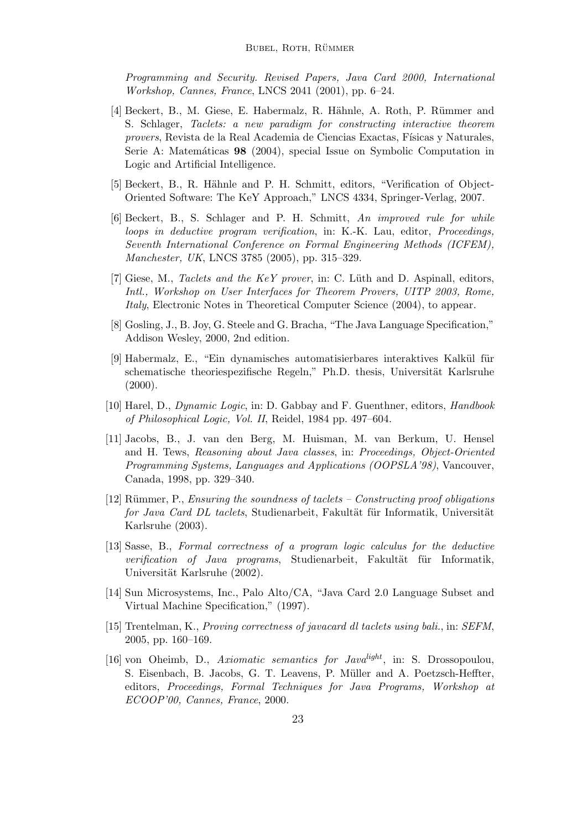Programming and Security. Revised Papers, Java Card 2000, International Workshop, Cannes, France, LNCS 2041 (2001), pp. 6–24.

- <span id="page-22-0"></span>[4] Beckert, B., M. Giese, E. Habermalz, R. H¨ahnle, A. Roth, P. R¨ummer and S. Schlager, Taclets: a new paradigm for constructing interactive theorem provers, Revista de la Real Academia de Ciencias Exactas, Físicas y Naturales, Serie A: Matemáticas 98 (2004), special Issue on Symbolic Computation in Logic and Artificial Intelligence.
- <span id="page-22-3"></span>[5] Beckert, B., R. H¨ahnle and P. H. Schmitt, editors, "Verification of Object-Oriented Software: The KeY Approach," LNCS 4334, Springer-Verlag, 2007.
- <span id="page-22-8"></span>[6] Beckert, B., S. Schlager and P. H. Schmitt, An improved rule for while loops in deductive program verification, in: K.-K. Lau, editor, Proceedings, Seventh International Conference on Formal Engineering Methods (ICFEM), Manchester, UK, LNCS 3785 (2005), pp. 315–329.
- <span id="page-22-2"></span>[7] Giese, M., Taclets and the KeY prover, in: C. Lüth and D. Aspinall, editors, Intl., Workshop on User Interfaces for Theorem Provers, UITP 2003, Rome, Italy, Electronic Notes in Theoretical Computer Science (2004), to appear.
- <span id="page-22-10"></span>[8] Gosling, J., B. Joy, G. Steele and G. Bracha, "The Java Language Specification," Addison Wesley, 2000, 2nd edition.
- <span id="page-22-1"></span>[9] Habermalz, E., "Ein dynamisches automatisierbares interaktives Kalkül für schematische theoriespezifische Regeln," Ph.D. thesis, Universität Karlsruhe  $(2000).$
- <span id="page-22-9"></span>[10] Harel, D., *Dynamic Logic*, in: D. Gabbay and F. Guenthner, editors, *Handbook* of Philosophical Logic, Vol. II, Reidel, 1984 pp. 497–604.
- <span id="page-22-5"></span>[11] Jacobs, B., J. van den Berg, M. Huisman, M. van Berkum, U. Hensel and H. Tews, Reasoning about Java classes, in: Proceedings, Object-Oriented Programming Systems, Languages and Applications (OOPSLA'98), Vancouver, Canada, 1998, pp. 329–340.
- <span id="page-22-12"></span> $[12]$  Rümmer, P., Ensuring the soundness of taclets – Constructing proof obligations for Java Card DL taclets, Studienarbeit, Fakultät für Informatik, Universität Karlsruhe (2003).
- <span id="page-22-6"></span>[13] Sasse, B., Formal correctness of a program logic calculus for the deductive verification of Java programs, Studienarbeit, Fakultät für Informatik, Universität Karlsruhe (2002).
- <span id="page-22-11"></span>[14] Sun Microsystems, Inc., Palo Alto/CA, "Java Card 2.0 Language Subset and Virtual Machine Specification," (1997).
- <span id="page-22-7"></span>[15] Trentelman, K., Proving correctness of javacard dl taclets using bali., in: SEFM, 2005, pp. 160–169.
- <span id="page-22-4"></span>[16] von Oheimb, D., Axiomatic semantics for Javalight, in: S. Drossopoulou, S. Eisenbach, B. Jacobs, G. T. Leavens, P. Müller and A. Poetzsch-Heffter, editors, Proceedings, Formal Techniques for Java Programs, Workshop at ECOOP'00, Cannes, France, 2000.